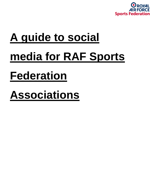

# **A guide to social media for RAF Sports Federation**

# **Associations**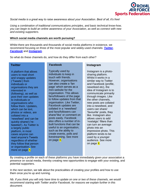

*Social media is a great way to raise awareness about your Association. Best of all, it's free!*

*Using a combination of traditional communications principles, and basic technical know-how, you can begin to build an online awareness of your Association, as well as connect with new and existing supporters.*

#### **Which social media channels are worth pursuing?**

Whilst there are thousands and thousands of social media platforms in existence, we recommend focusing on three of the most popular and widely-used channels: *[Twitter](https://twitter.com/)*, *[Facebook](https://www.facebook.com/)* and *[Instagram](https://www.instagram.com/)*.

So what do these channels do, and how do they differ from each other?

# **Twitter**

A platform that allows users to read short and snappy updates ('Tweets') from individuals or organisations they are interested in (following), as well as post their own updates to individuals or organisations who follow them. Updates, which can be text, photos or videos, are collated into a 'newsfeed' and can be quickly shared ('retweeted'). As Twitter is a largely public platform, in most cases anyone can read anyone's Tweets regardless of whether they follow that person or organisation. See more on page X.

# **Facebook**

Typically used by individuals to keep in touch with friends. However, organisations can also create a 'fan page' which serves as a mini website for the organisation. This allows fans/followers of the page to follow updates from that organisation. Like Twitter, Facebook updates are collated in a 'newsfeed' and fans/followers can share/'like' or comment on posts easily. Facebook also offers a number of inbuilt functions that can be useful to an organisation, such as the ability to create events, polls and livestreaming. See more on page X.

#### **Instagram**

Instagram is a photosharing platform. Whilst it works in a similar way to Twitter and Facebook (profile, newsfeed etc), the idea of Instagram is to communicate primarily through images. Like the other channels, new posts are collated into a newsfeed, and users can share/ 'favourite' posts, they like. Instagram also allows users to add 'nostalgic' filters than can turn an average photo into an impressive photo. This platform tends to be used by a younger audience. See more on page X.

By creating a profile on each of these platforms you have immediately given your association a presence on social media, thereby creating new opportunities to engage with your existing, and potential supporters.

In the next section, we talk about the practicalities of creating your profiles and how to use them once you're up and running.

*Nb. If you think you will only have time to update on one or two of these channels, we would recommend starting with Twitter and/or Facebook, for reasons we explain further in this document.*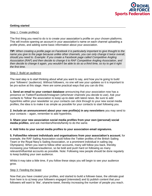

# **Getting started**

#### Step 1: Create profile(s)

The first thing you need to do is to create your association's profile on your chosen platforms. This will involve opening an account in your association's name on each channel uploading a profile photo, and adding some basic information about your association.

*TIP: When creating a profile page on Facebook it is particularly important to give thought to the name you give to the page because unlike other channels, you can only change it twice overall, should you need to. Example: If you create a Facebook page called Competitive Angling Association (RAF) and then decide to change it to RAF Competitive Angling Association, and then decide to change it again, you wouldn't be able to do so a third time, so try to get it right the first time.*

#### Step 2: Build an audience

The next step is to start thinking about what you want to say, and how you're going to build your 'followers' (audience). Without followers, no one will see your updates so it is important to be pro-active at this stage. Here are some practical ways that you can do this:

**1. Send an email to your contact database** announcing that your association now has a presence on Twitter/Facebook/Instagram (whichever channels you decide to use). Ask your contacts to 'follow' the association to keep up-to-date with latest news. Be sure to add hyperlinks within your newsletter so your contacts can click through to your new social media profiles; the idea is to make it as simple as possible for your contacts to start following you.

**2. Include an announcement about your new profile(s) in any newsletters** you may send to your contacts – again, remember to add hyperlinks.

**3. Share your new association social media profiles from your own (personal) social media profiles**, and ask members/friends/family to do the same.

# **4. Add links to your social media profiles to your association email signatures.**

**5. Follow/like relevant individuals and organisations from your association's account**, for example, the RAF Sailing Association could follow the Twitter profiles of the British Sailing Team or the Royal Navy's Sailing Association, or a prominent individual in sailing (eg Olympians). When you start to follow other accounts, many will follow you back, thereby increasing your followers/audience, so be bold and push hard on following as many relevant/influential accounts as possible. Note: Following new people should be done regularly to keep building your own audience.

Whilst it may take a little time, if you follow these steps you will begin to see your audience grow.

#### Step 3: Feeding the beast

Now that you have created your profiles, and started to build a follower-base, the ultimate goal from here is to a) keep your followers engaged (interested) and b) publish content that your followers will want to 'like', share/re-tweet, thereby increasing the number of people you reach.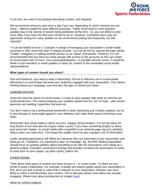

To do this, you need to be posting interesting content, and regularly.

We recommend aiming to post once a day if you can, depending on which channel you are using – different platforms have different purposes. Twitter lends itself to more frequent updates due to the volume of tweets being published all the time – ie, you can afford to post more often if you have the time and content to do so. However, Facebook users may not appreciate seeing too many updates so we recommend posting less frequently, but still regularly\*.

*\* It can be helpful to have 1-2 people in charge of managing your association's social media accounts to help 'share the load' of regular posting. You can do this by sharing the login details (Twitter, Instagram) or adding another person as an 'admin' (Facebook). However, it is not recommended that you have too many people with access to the accounts as this can create an inconsistent tone of voice, cross-posting/duplication, or possible security issues. It would be better to ask members to email updates or ideas for content to the nominated social media representatives.* 

#### **What types of content should you share?**

First and foremost, you need to *keep it interesting*! The art to effective use of social media effectively is to post things that keep your audience engaged with your association. This means thinking about your language, tone and also the type of content you share.

#### Language and tone:

Given the informal nature of social media, it is best to post updates that strike an informal yet professional tone. This means keeping your updates upbeat and fun, but 'on-topic', with correct grammar and spelling, hyperlinks that work etc.

You don't need to be a professional wordsmith to write interesting and creative updates, but try to give thought to what might appeal to your followers and make them want to like/share your news.

Remember that social media is about succinct, snappy communication. It is not the place for long blocks of text that take too long to make a point. If you have something lengthy to share, post some text 'teaser' on social media with a hyperlink to an external page (eg your website) where users can read more. This keeps the update short but also supplies a lot of information.

Lastly, people/organisations will follow you because they are interested in your association and what you do. Therefore, it is important to stay 'on message'. Eg, the RAF Sailing Association should focus on posting updates about everything to do with the association, and sailing as a general subject. Followers would find it strange and possibly un-follow the association if it were to stray from its core subject, eg other sports, politics etc.

#### Content formats:

Think about what types of content you have access to – or could create - to share on your profile to keep it interesting. For example, a simple text-based update about your association is fine, but if you add a photo or video that is relevant to your association, followers are more likely to notice it and like/share your content. This is because photos and videos are visuallyengaging. (Read more about posting text vs images [here\)](https://snapretail.com/snapretail-blog/text-vs-images-wins-social/).

#### Ideas for content subjects: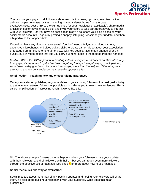

You can use your page to tell followers about association news, upcoming events/activities, debriefs on past events/activities, including sharing videos/photos from the past events/activities, post a link to the sign up page for your newsletter (if applicable), share media articles on sector news, create a poll and invite your users to take part (a great way to interact with your followers). Do you have an association blog? If so, share your blog pieces on your social media accounts – again by posting a snappy, intriguing 'teaser' as your update, and then a hyperlink to the longer article.

If you don't have any videos, create some! You don't need a fully-spec'd video camera, expensive microphones and video editing skills to create a short video about your association, or footage from an event, or short interviews with key people. Most smart phones offer a hiquality, built-in video option that lets you carry out minor edits to the footage from the handset.

*Caution: Whilst this DIY approach to creating videos is very easy and offers an alternative way to engage, it's important to get a few basics right, eg footage the right way up, not lop-sided; sound reasonably good – not tinny; not too long (eg more than 2 mins) etc. Otherwise, your attempt to engage your audience may have the opposite effect.*

# **Amplification – reaching new audiences; raising awareness**

Once you've started publishing regular updates to your existing followers, the next goal is to try to get as many re-tweets/shares as possible as this allows you to reach new audiences. This is called 'amplification' or 'increasing reach'. It works like this:



Nb: The above example focuses on what happens when your followers share your updates with their followers, and their followers with theirs – but you can reach even more followers through the effective use of hashtags. See page  $X$  for more about how to use hashtags.

#### **Social media is a two-way conversation!**

Social media is about more than simply posting updates and hoping your followers will share them. It's also about building a relationship with your audience. What does this mean practically?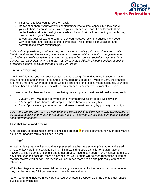

- If someone follows you, follow them back!
- Re-tweet or share\* your follower's content from time to time, especially if they share yours. If their content is not relevant to your audience, you can like or favourite their content instead (this is the digital equivalent of a 'nod' without commenting or publicising their content to your followers);
- Encourage your followers to comment on your updates (asking a question is a good way to do this), and respond to their comments. This creates a conversation, and conversations create relationships.

*\* When sharing third-party content from your association profile(s) it is important to remember that this action can often be interpreted as an endorsement of the content, so do give thought to whether it is really something that you want to share from your association's account. As a general rule, steer clear of anything that may be seen as politically-aligned, sensitive/offensive, or has the potential to cause damage to the RAF brand.*

# **Timing is everything!**

The time of day that you post your updates can make a significant difference between whether they are noticed and shared. For example, if you post an update on Twitter at 2am, the chances are that by morning, when most people wake up and check their social media accounts, your post will have been buried down their newsfeed, superseded by newer tweets from other users.

To have more of a chance of your content being noticed, post at 'peak' social media times, such as:

- 6.30am-9am wake up / commute time; internet browsing by phone typically high
- 12pm-2pm lunch hours desktop and phone browsing typically high
- 5pm-10pm evening commute / wind down internet browsing by phone typically high

*TIP: There are free tools such as HootSuite and TweetDeck that allow you to schedule updates to go out at a specific time, meaning you do not need to make yourself available during peak times to send out your updates.*

#### **Essential social media terms**

A full glossary of social media terms is enclosed on page  $X$  of this document, however, below are a couple of important terms explained in detail:

# 'Hashtags'

A hashtag is a phrase or keyword that is preceded by a hashtag symbol (#), that turns the said phrase or keyword into a searchable link. This means that users can click on that phrase or keyword to find volumes of content about that phrase. Anyone can search for a hashtag, and if you have also used the hashtag, there's a chance that your update will be seen regardless of whether that user follows you or not. This means you can reach more people and potentially attract new followers.

Whilst hashtags are not an essential part of using social media, for the reason mentioned above, they can be very helpful if you are trying to reach new audiences.

Note: Twitter and Instagram are very hashtag orientated. Facebook also has the hashtag function but it is used much less.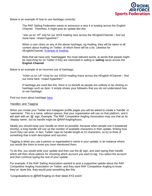

Below is an example of how to use hashtags correctly:

The RAF Sailing Federation wants to announce a race it is hosting across the English Channel. Therefore, it might post an update like this:

"Join us on  $14<sup>th</sup>$  July for our 2019 #sailing race across the #EnglishChannel – find out more here: <insert hyperlink>"

When a user clicks on any of the above hashtags, eg #sailing, they will be taken to all content about #sailing on Twitter, of which there will be a lot. Likewise for #EnglishChannel. [Example of #sailing.](https://twitter.com/search?q=%23sailing&src=typd)

Note that we have only 'hashtagged' the most relevant words, ie words that people might be searching for on Twitter if they are interested in sailing or **sailing** races across the **English Channel**.

Below is an example of an incorrect use of hashtags:

"#Join us on 14<sup>th</sup> #July for our #2019 #sailing #race across the #English #Channel – find out more here: <insert hyperlink>"

If hashtags are used like this, there is no benefit as people are unlikely to be clicking on hashtags such as #join. It simply shows your followers that you do not understand how to use hashtags.

Find out more about hashtags [here.](https://mashable.com/2013/10/08/what-is-hashtag/?europe=true#aMxYUw9VcPqr)

#### 'Handles' and 'Tagging'

When you create your Twitter and Instagram profile pages you will be asked to create a 'handle' or 'username'. This is a name, without spaces, that your organisation will use on that platform, and it will start with an ' $@$ ' sign. Example: The RAF Competitive Angling Association may use that as its 'display name', but its handle might be @RAFAnglingAssoc.

Ideally you should keep your handle as short as possible, because when people use it (explained shortly), a long handle will use up the number of available characters in their update, limiting how much they can write. In fact, Twitter caps its handle length at 15 characters, so try to think of something that is both descriptive and succinct.

Tagging is when you use a person or organisation's name in your update, in an instance where you would like them to know you have mentioned them.

To do this, you would write your update and then use the @ sign, and start typing their handle which will then show options for choosing which account you want to tag. You select the account and then continue typing the rest of your update.

For example, if the RAF Sailing Association wanted to post a supportive update about the RAF Competitive Angling Association on Twitter, and they want RAF Competitive Angling to know they've' done this, they would post something like this:

'Congratulations to @RAFAngling on their latest XYZ event'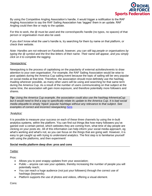

By using the Competitive Angling Association's handle, it would trigger a notification to the RAF Angling Association to say the RAF Sailing Association has 'tagged' them in an update. RAF Angling could then like or reply to the update.

For this to work, the @ must be used and the correct/specific handle (no typos, no spaces) of that person or organisation must also be used.

If you don't know what the user's handle is, try searching for them by name on that platform, or check their website.

*Note: Handles are not relevant on Facebook, however, you can still tag people or organisations by typing the @ symbol and the first few letters of their name. Their name will appear, and you simply click on it to complete the tagging.*

# 'Newsjacking'

Newsjacking is the process of capitalising on the popularity of external activities/events to draw attention to your own organisation. For example, the RAF Sailing Association would be wise to post updates during the America Cup sailing event because the topic of sailing will be very popular on social media at that time. Therefore, the association should most definitely use the hashtag #sailing wherever possible, as many other users will be using and searching for that same term during the America Cup. As a result of the number of users communicating on that subject at the same time, the association will gain more exposure, and therefore potentially more followers and shares.

*Tip: Using the America Cup example, the association could also use the hashtag #AmericaCup but it would need to find a way to specifically relate its update to the America Cup. It is bad social media etiquette to simply 'hijack' popular hashtags without any relevance to that subject. See examples of correct and incorrect newsjacking [here.](http://www.getspokal.com/15-examples-of-the-good-the-bad-and-the-ugly-of-newsjacking/)*

#### 'Analytics'

It is possible to measure your success on each of these three channels by using the in-built analytics systems, within the platform. You can find out things like how many followers you've gained over a certain period, which websites they are coming from, what time of day people are clicking on your posts etc. All of this information can help inform your social media approach, eg what's working and what's not, so you can focus on the things that are going well. However, it is easy to get caught up with trying to understand analytics. The first step is to familiarise yourself with using the platforms, and then experiment!

# **Social media platform deep dive: pros and cons**

#### **Twitter**

Pros:

- Allows you to post snappy updates from your association;
- Public anyone can see your updates, thereby increasing the number of people you will potentially reach;
- You can reach a huge audience (not just your followers) through the correct use of hashtags (keywords);
- Platform supports the use of photos and videos, offering a visual element.

Cons: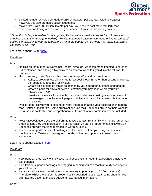

- Limited number of words per update (280 characters\* per update, including spaces), however, this also promotes succinct updates;
- Moves fast with 500 million Tweets per day, you need to post more regularly than Facebook and Instagram to have a higher chance of your updates being noticed.

*\* Note: If including a hyperlink in your update, Twitter will automatically shrink it to 23 characters (much less than the average hyperlink), allowing you more space for your update. We recommend adding the hyperlink to your update before writing the update, so you know how many characters you have to play with.*

Learn more about Twitter [here.](https://www.lifewire.com/what-exactly-is-twitter-2483331)

# Facebook

Pros:

- No limit on the number of words per update, although, we recommend keeping updates to 3-4 sentences, and adding a hyperlink to an external website if you'd like the follower to read more
- Has some very useful features that the other two platforms don't, such as:
	- $\circ$  Ability to create photo albums (eq for a specific event) rather than posting one photo per update, as required for Twitter;
	- o Create polls (voting on topics as defined by you); good for audience engagement;
	- $\circ$  Create a page for physical event or activities you may host, where you want followers to RSVP;
	- $\circ$  Livestream events for example, if an association was hosting a sporting event it the manager of the Facebook page could film and transmit that event via the page in real time.
- Profile (page) allows you to post much more information about your association in general than Twitter or Instagram. Some organisations use their Facebook profile as their 'website' because it is so flexible and comprehensive in terms of what information can be included.

Cons:

- Most Facebook users use the platform to follow updates from family and friends rather than organisations they are interested in. For this reason, it can be harder to gain followers on Facebook but with the right approach, is worth pursuing.
- Facebook supports the use of hashtags but the number of people using them is much, much less than Twitter and Instagram, thereby limiting your potential to reach *new* audiences.

Learn more about Facebook [here.](https://www.lifewire.com/what-is-facebook-3486391)

# Instagram

Pros:

- Very popular, great way to 'showcase' your association through images/photos instead of text updates;
- Like Twitter, supports hashtags and tagging, meaning you can reach an audience beyond your followers;
- Instagram allows users to add a text commentary to photos (up to 2,200 characters). Therefore, whilst the platform is predominantly designed as a photo-sharing channel, you still have the option to provide additional, text-based information.

Cons: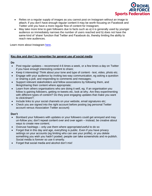

- Relies on a regular supply of images as you cannot post on Instagram without an image to attach; if you don't have enough regular content it may be worth focusing on Facebook and Twitter until you have a more regular flow of content for Instagram;
- May take more time to gain followers due to facts such as a) it is generally used by younger audience so immediately narrows the number of users reached and b) does not have the same kind of 'share' function that Twitter and Facebook do, thereby limiting the ability to reach new audiences.

Learn more about Instagram [here.](https://www.lifewire.com/what-is-instagram-3486316)

# **Key dos and don't to remember for general use of social media**

**Do**

- Post regular updates recommend 4-6 times a week, or a few times a day on Twitter if you have enough interesting content to share;
- Keep it interesting! Think about your tone and type of content text, video, photo etc.
- Engage with your audience by inviting two-way communication, eg asking a question or sharing a poll, and responding to comments and messages;
- Support relevant stakeholders and fellow associations by following them, and liking/sharing their content where appropriate;
- Learn from others organisations who are doing it well, eg. If an organisation you follow is gaining followers, getting re-tweets etc, look at why. Are they experimenting with different types of content? Do they post engaging updates that make you want to click/share?;
- Include links to your social channels on your website, email signatures etc;
- Check you are signed into the right account before posting (eg personal Twitter account versus Association Twitter account)

# **Don't**

- Bombard your followers with updates or your followers could get annoyed and may un-follow you; don't repeat content over and over again – instead, be creative about ways to create new content;
- Overuse hashtags only use them where appropriate/useful to do so
- Forget that in this day and age, everything is public. Even if you have privacy settings on your accounts (eg limiting who can see your profile), or you delete something you wish you hadn't posted, people can take screenshots and re-publish. Social media is forever so use it smartly.
- Forget that social media and alcohol don't mix!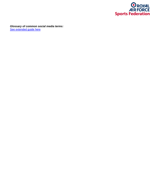

*Glossary of common social media terms:* [See extended](https://knowledgebase.constantcontact.com/articles/KnowledgeBase/6260-definition-of-common-social-media-terms?lang=en_US) guide here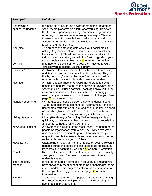

| Term (A-Z)                         | <b>Definition</b>                                                                                                                                                                                                                                                                                                                                                                                      |
|------------------------------------|--------------------------------------------------------------------------------------------------------------------------------------------------------------------------------------------------------------------------------------------------------------------------------------------------------------------------------------------------------------------------------------------------------|
| Advertising /<br>sponsored updates | It is possible to pay for an advert or promoted updated on<br>social media platforms as a form of advertising. However,<br>this feature is generally used by commercial organisations<br>or for high-profile awareness-raising campaigns. We don't<br>foresee a need for associations to take out any paid<br>advertising on social media and would recommend against<br>it, without further training. |
| Analytics                          | The process of gathering data about your social media<br>activity, (eg. number of followers/users reached/clicks on<br>links/shares etc). This data can be analysed and used to<br>indicate what is working and what isn't with regards to your<br>social media strategy. See page X for more information.                                                                                             |
| DM / PM                            | If someone has DM'd pr PM'd you, they have sent you a<br>'direct/private message' via the platform.                                                                                                                                                                                                                                                                                                    |
| Follower / fan                     | A follower or fan is a user that has subscribed to receiving<br>updates from you on their social media platforms. They do<br>this by 'following' your profile page. You can also 'follow'<br>other organisations or individuals to see their updates.                                                                                                                                                  |
| Hashtag                            | A hashtag is a phrase or keyword that is preceded by a<br>hashtag symbol (#), that turns the phrase or keyword into a<br>searchable link. If used correctly, hashtags allow you to tap<br>into conversations about specific subjects, meaning you<br>reach many more users, not just those who follow you. See<br>page X for more information.                                                         |
| Handle / username                  | Whilst Facebook uses a person's name to identify users,<br>Twitter and Instagram use handles / usernames. Handles /<br>usernames start with an @ sign and should be kept as short<br>as possible (Twitter limits its handles to 15 characters).<br>Users can still have a 'display name', which can be longer.                                                                                         |
| Liking / favourite                 | Liking (Facebook) or favourting (Twitter/Instagram) is a<br>quick way to indicate that they like, support or acknowledge<br>an update, without leaving a comment.                                                                                                                                                                                                                                      |
| Newsfeed / timeline                | A newsfeed is a stream of the most recent updates from the<br>people or organisations you follow. The Twitter newsfeed<br>also includes a selection of updates from users that you<br>may not follow, but whose updates have been favourited or<br>replied to by someone you do follow.                                                                                                                |
| Newsjacking                        | Capitalising on popular (trending) topics by posting relevant<br>updates during the period of peak interest, using essential<br>keywords and hashtags. See page $X$ for more information.                                                                                                                                                                                                              |
| Reach                              | Refers to the number of users that have seen or potentially<br>seen your update. Your reach increases each time an<br>update is shared.                                                                                                                                                                                                                                                                |
| Tag / tagging /<br>mention         | If you tag or mention someone in an update, it means you<br>have specifically mentioned their name or handle/username<br>in your update. This triggers a notification alerting them to<br>the fact you have tagged them. See page $X$ for more<br>information.                                                                                                                                         |
| Trending                           | Trending is another term for 'popular'. If a topic is 'trending<br>on Twitter', it means multiple users are all discussing the<br>same topic at the same time.                                                                                                                                                                                                                                         |